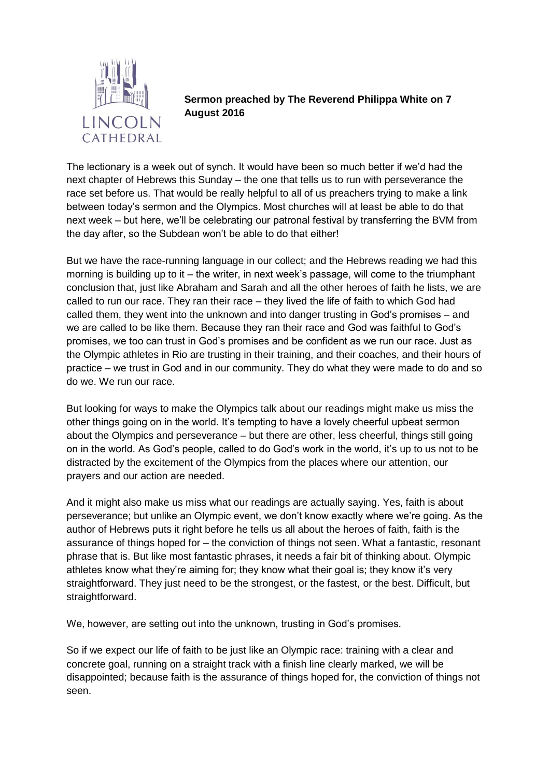

**Sermon preached by The Reverend Philippa White on 7 August 2016**

The lectionary is a week out of synch. It would have been so much better if we'd had the next chapter of Hebrews this Sunday – the one that tells us to run with perseverance the race set before us. That would be really helpful to all of us preachers trying to make a link between today's sermon and the Olympics. Most churches will at least be able to do that next week – but here, we'll be celebrating our patronal festival by transferring the BVM from the day after, so the Subdean won't be able to do that either!

But we have the race-running language in our collect; and the Hebrews reading we had this morning is building up to it – the writer, in next week's passage, will come to the triumphant conclusion that, just like Abraham and Sarah and all the other heroes of faith he lists, we are called to run our race. They ran their race – they lived the life of faith to which God had called them, they went into the unknown and into danger trusting in God's promises – and we are called to be like them. Because they ran their race and God was faithful to God's promises, we too can trust in God's promises and be confident as we run our race. Just as the Olympic athletes in Rio are trusting in their training, and their coaches, and their hours of practice – we trust in God and in our community. They do what they were made to do and so do we. We run our race.

But looking for ways to make the Olympics talk about our readings might make us miss the other things going on in the world. It's tempting to have a lovely cheerful upbeat sermon about the Olympics and perseverance – but there are other, less cheerful, things still going on in the world. As God's people, called to do God's work in the world, it's up to us not to be distracted by the excitement of the Olympics from the places where our attention, our prayers and our action are needed.

And it might also make us miss what our readings are actually saying. Yes, faith is about perseverance; but unlike an Olympic event, we don't know exactly where we're going. As the author of Hebrews puts it right before he tells us all about the heroes of faith, faith is the assurance of things hoped for – the conviction of things not seen. What a fantastic, resonant phrase that is. But like most fantastic phrases, it needs a fair bit of thinking about. Olympic athletes know what they're aiming for; they know what their goal is; they know it's very straightforward. They just need to be the strongest, or the fastest, or the best. Difficult, but straightforward.

We, however, are setting out into the unknown, trusting in God's promises.

So if we expect our life of faith to be just like an Olympic race: training with a clear and concrete goal, running on a straight track with a finish line clearly marked, we will be disappointed; because faith is the assurance of things hoped for, the conviction of things not seen.